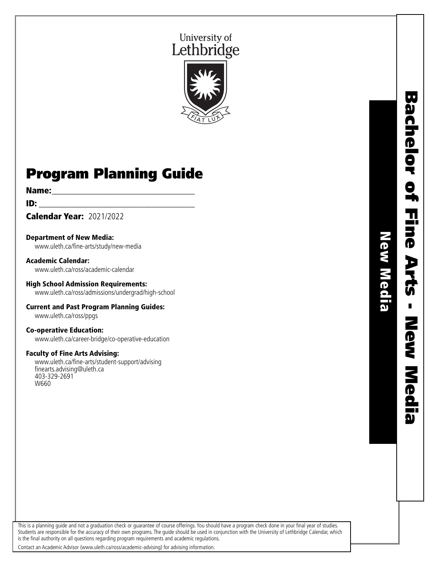# University of Lethbridge



# Program Planning Guide

### **Name:** <u>\_\_\_\_\_\_\_\_\_\_\_\_\_\_\_\_\_\_\_\_\_\_</u>

 $ID:$ 

Calendar Year: 2021/2022

Department of New Media: www.uleth.ca/fine-arts/study/new-media

Academic Calendar: www.uleth.ca/ross/academic-calendar

High School Admission Requirements: www.uleth.ca/ross/admissions/undergrad/high-school

Current and Past Program Planning Guides: www.uleth.ca/ross/ppgs

Co-operative Education:

www.uleth.ca/career-bridge/co-operative-education

# Faculty of Fine Arts Advising:

www.uleth.ca/fine-arts/student-support/advising finearts.advising@uleth.ca 403-329-2691 W660

This is a planning guide and not a graduation check or guarantee of course offerings. You should have a program check done in your final year of studies. Students are responsible for the accuracy of their own programs. The guide should be used in conjunction with the University of Lethbridge Calendar, which is the final authority on all questions regarding program requirements and academic regulations.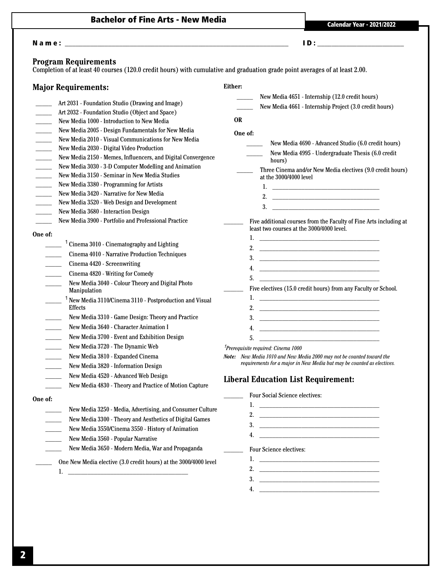# Bachelor of Fine Arts - New Media<br>
Calendar Year - 2021/2022

# N a m e : \_\_\_\_\_\_\_\_\_\_\_\_\_\_\_\_\_\_\_\_\_\_\_\_\_\_\_\_\_\_\_\_\_\_\_\_\_\_\_\_\_\_\_\_\_\_\_\_\_\_\_\_\_\_\_\_\_\_\_\_\_\_ I D : \_\_\_\_\_\_\_\_\_\_\_\_\_\_\_\_\_\_\_\_\_\_\_\_

### **Program Requirements**

Completion of at least 40 courses (120.0 credit hours) with cumulative and graduation grade point averages of at least 2.00.

| <b>Major Requirements:</b>                                                                                                                                                                                                                                                                                                                                                                                                                                                                                                                                                                                                                                                                                                                                                                                                                                                                            | Either:                                                                                                                                                                                                                                                                                                                                                                                                                                                                                                                                                                                                                                   |
|-------------------------------------------------------------------------------------------------------------------------------------------------------------------------------------------------------------------------------------------------------------------------------------------------------------------------------------------------------------------------------------------------------------------------------------------------------------------------------------------------------------------------------------------------------------------------------------------------------------------------------------------------------------------------------------------------------------------------------------------------------------------------------------------------------------------------------------------------------------------------------------------------------|-------------------------------------------------------------------------------------------------------------------------------------------------------------------------------------------------------------------------------------------------------------------------------------------------------------------------------------------------------------------------------------------------------------------------------------------------------------------------------------------------------------------------------------------------------------------------------------------------------------------------------------------|
| Art 2031 - Foundation Studio (Drawing and Image)<br>Art 2032 - Foundation Studio (Object and Space)<br>$\overline{\phantom{a}}$<br>New Media 1000 - Introduction to New Media<br>$\overline{\phantom{a}}$<br>New Media 2005 - Design Fundamentals for New Media<br>$\overline{\phantom{a}}$<br>New Media 2010 - Visual Communications for New Media<br>$\sim$<br>New Media 2030 - Digital Video Production<br>$\sim 10^{-1}$<br>New Media 2150 - Memes, Influencers, and Digital Convergence<br>$\sim$<br>New Media 3030 - 3-D Computer Modelling and Animation<br>$\overline{\phantom{a}}$<br>New Media 3150 - Seminar in New Media Studies<br>$\overline{\phantom{a}}$<br>$\frac{1}{2}$<br>New Media 3380 - Programming for Artists<br>New Media 3420 - Narrative for New Media<br>$\mathcal{L}^{\text{max}}$<br>New Media 3520 - Web Design and Development<br>New Media 3680 - Interaction Design | New Media 4651 - Internship (12.0 credit hours)<br>New Media 4661 - Internship Project (3.0 credit hours)<br><b>OR</b><br>One of:<br>New Media 4690 - Advanced Studio (6.0 credit hours)<br>New Media 4995 - Undergraduate Thesis (6.0 credit<br>hours)<br>Three Cinema and/or New Media electives (9.0 credit hours)<br>at the 3000/4000 level                                                                                                                                                                                                                                                                                           |
| New Media 3900 - Portfolio and Professional Practice<br>One of:<br>$\frac{1}{2}$ Cinema 3010 - Cinematography and Lighting<br>Cinema 4010 - Narrative Production Techniques<br>Cinema 4420 - Screenwriting<br>Cinema 4820 - Writing for Comedy<br>New Media 3040 - Colour Theory and Digital Photo<br>Manipulation<br><sup>1</sup> New Media 3110/Cinema 3110 - Postproduction and Visual<br><b>Effects</b><br>New Media 3310 - Game Design: Theory and Practice<br>New Media 3640 - Character Animation I<br>New Media 3700 - Event and Exhibition Design<br>New Media 3720 - The Dynamic Web<br>$\overline{\phantom{a}}$<br>New Media 3810 - Expanded Cinema<br>$\sim 10^{-1}$<br>New Media 3820 - Information Design<br>$\frac{1}{2}$<br>New Media 4520 - Advanced Web Design<br>New Media 4830 - Theory and Practice of Motion Capture                                                            | Five additional courses from the Faculty of Fine Arts including at<br>least two courses at the 3000/4000 level.<br>2. $\qquad \qquad$<br>5.<br>Five electives (15.0 credit hours) from any Faculty or School.<br>5.<br><u> 1999 - Johann Harry Harry Harry Harry Harry Harry Harry Harry Harry Harry Harry Harry Harry Harry Harry Harry</u><br><sup>1</sup> Prerequisite required: Cinema 1000<br>Note: New Media 1010 and New Media 2000 may not be counted toward the<br>requirements for a major in New Media but may be counted as electives.<br><b>Liberal Education List Requirement:</b><br><b>Four Social Science electives:</b> |
| One of:<br>New Media 3250 - Media, Advertising, and Consumer Culture<br>New Media 3300 - Theory and Aesthetics of Digital Games<br>New Media 3550/Cinema 3550 - History of Animation<br>New Media 3560 - Popular Narrative<br>New Media 3650 - Modern Media, War and Propaganda<br>One New Media elective (3.0 credit hours) at the 3000/4000 level<br>1.                                                                                                                                                                                                                                                                                                                                                                                                                                                                                                                                             | 1.<br><u> 1989 - Johann John Stone, market francuski filozof (</u><br>2. $\qquad \qquad$<br>4.<br><b>Four Science electives:</b>                                                                                                                                                                                                                                                                                                                                                                                                                                                                                                          |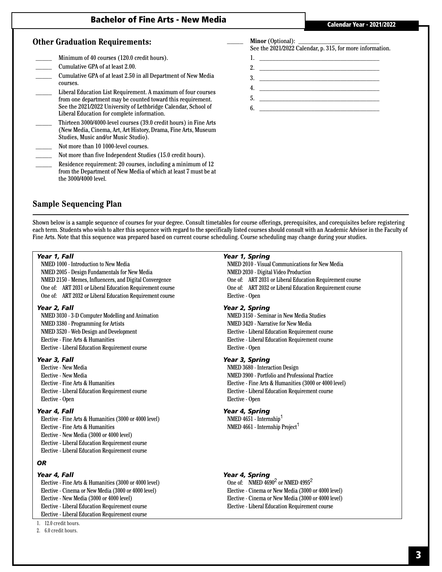# Bachelor of Fine Arts - New Media

#### **Other Graduation Requirements:**

- Minimum of 40 courses (120.0 credit hours).
- \_\_\_\_\_ Cumulative GPA of at least 2.00.
- \_\_\_\_\_ Cumulative GPA of at least 2.50 in all Department of New Media courses.
- \_\_\_\_\_ Liberal Education List Requirement. A maximum of four courses from one department may be counted toward this requirement. See the 2021/2022 University of Lethbridge Calendar, School of Liberal Education for complete information.
- \_\_\_\_\_ Thirteen 3000/4000-level courses (39.0 credit hours) in Fine Arts (New Media, Cinema, Art, Art History, Drama, Fine Arts, Museum Studies, Music and/or Music Studio).
- Not more than 10 1000-level courses.
- Not more than five Independent Studies (15.0 credit hours).
- Residence requirement: 20 courses, including a minimum of 12 from the Department of New Media of which at least 7 must be at the 3000/4000 level.

# **Sample Sequencing Plan**

Shown below is a sample sequence of courses for your degree. Consult timetables for course offerings, prerequisites, and corequisites before registering each term. Students who wish to alter this sequence with regard to the specifically listed courses should consult with an Academic Advisor in the Faculty of Fine Arts. Note that this sequence was prepared based on current course scheduling. Course scheduling may change during your studies.

#### *Year 1, Fall*

NMED 1000 - Introduction to New Media NMED 2005 - Design Fundamentals for New Media NMED 2150 - Memes, Influencers, and Digital Convergence One of: ART 2031 or Liberal Education Requirement course One of: ART 2032 or Liberal Education Requirement course

#### *Year 2, Fall*

NMED 3030 - 3-D Computer Modelling and Animation NMED 3380 - Programming for Artists NMED 3520 - Web Design and Development Elective - Fine Arts & Humanities Elective - Liberal Education Requirement course

#### *Year 3, Fall*

Elective - New Media Elective - New Media Elective - Fine Arts & Humanities Elective - Liberal Education Requirement course Elective - Open

#### *Year 4, Fall*

Elective - Fine Arts & Humanities (3000 or 4000 level) Elective - Fine Arts & Humanities Elective - New Media (3000 or 4000 level) Elective - Liberal Education Requirement course Elective - Liberal Education Requirement course

#### *OR*

#### *Year 4, Fall*

Elective - Fine Arts & Humanities (3000 or 4000 level) Elective - Cinema or New Media (3000 or 4000 level) Elective - New Media (3000 or 4000 level) Elective - Liberal Education Requirement course Elective - Liberal Education Requirement course

### 1. 12.0 credit hours.

2. 6.0 credit hours.

#### *Year 1, Spring*

NMED 2010 - Visual Communications for New Media NMED 2030 - Digital Video Production One of: ART 2031 or Liberal Education Requirement course One of: ART 2032 or Liberal Education Requirement course Elective - Open

#### *Year 2, Spring*

NMED 3150 - Seminar in New Media Studies NMED 3420 - Narrative for New Media Elective - Liberal Education Requirement course Elective - Liberal Education Requirement course Elective - Open

#### *Year 3, Spring*

NMED 3680 - Interaction Design NMED 3900 - Portfolio and Professional Practice Elective - Fine Arts & Humanities (3000 or 4000 level) Elective - Liberal Education Requirement course Elective - Open

#### *Year 4, Spring*

NMED 4651 - Internship<sup>1</sup> NMED  $4661$  - Internship Project<sup>1</sup>

#### *Year 4, Spring*

One of: NMED  $\overline{4690}^2$  or NMED  $4995^2$ Elective - Cinema or New Media (3000 or 4000 level) Elective - Cinema or New Media (3000 or 4000 level) Elective - Liberal Education Requirement course

# **Minor** (Optional):

See the 2021/2022 Calendar, p. 315, for more information.

- 1.  $\frac{1}{\sqrt{2}}$
- 2. \_\_\_\_\_\_\_\_\_\_\_\_\_\_\_\_\_\_\_\_\_\_\_\_\_\_\_\_\_\_\_\_\_\_\_\_\_
- $3.$
- 4. \_\_\_\_\_\_\_\_\_\_\_\_\_\_\_\_\_\_\_\_\_\_\_\_\_\_\_\_\_\_\_\_\_\_\_\_\_ 5. \_\_\_\_\_\_\_\_\_\_\_\_\_\_\_\_\_\_\_\_\_\_\_\_\_\_\_\_\_\_\_\_\_\_\_\_\_
- 6. \_\_\_\_\_\_\_\_\_\_\_\_\_\_\_\_\_\_\_\_\_\_\_\_\_\_\_\_\_\_\_\_\_\_\_\_\_